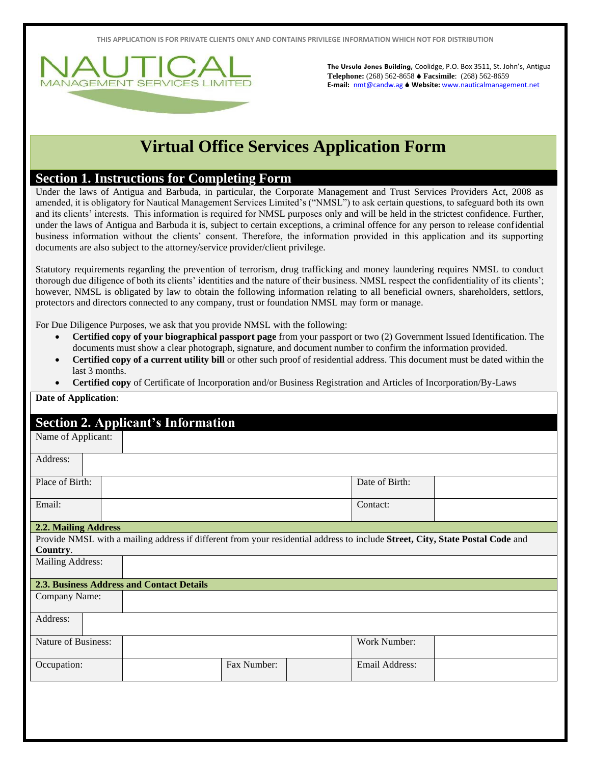**THIS APPLICATION IS FOR PRIVATE CLIENTS ONLY AND CONTAINS PRIVILEGE INFORMATION WHICH NOT FOR DISTRIBUTION**



**The Ursula Jones Building,** Coolidge, P.O. Box 3511, St. John's, Antigua **Telephone:** (268) 562-8658 **Facsimile**: (268) 562-8659 **E-mail:** [nmt@candw.ag](mailto:nmt@candw.ag) **Website:** www.nauticalmanagement.net

## **Virtual Office Services Application Form**

## **Section 1. Instructions for Completing Form**

Under the laws of Antigua and Barbuda, in particular, the Corporate Management and Trust Services Providers Act, 2008 as amended, it is obligatory for Nautical Management Services Limited's ("NMSL") to ask certain questions, to safeguard both its own and its clients' interests. This information is required for NMSL purposes only and will be held in the strictest confidence. Further, under the laws of Antigua and Barbuda it is, subject to certain exceptions, a criminal offence for any person to release confidential business information without the clients' consent. Therefore, the information provided in this application and its supporting documents are also subject to the attorney/service provider/client privilege.

Statutory requirements regarding the prevention of terrorism, drug trafficking and money laundering requires NMSL to conduct thorough due diligence of both its clients' identities and the nature of their business. NMSL respect the confidentiality of its clients'; however, NMSL is obligated by law to obtain the following information relating to all beneficial owners, shareholders, settlors, protectors and directors connected to any company, trust or foundation NMSL may form or manage.

For Due Diligence Purposes, we ask that you provide NMSL with the following:

- **Certified copy of your biographical passport page** from your passport or two (2) Government Issued Identification. The documents must show a clear photograph, signature, and document number to confirm the information provided.
- **Certified copy of a current utility bill** or other such proof of residential address. This document must be dated within the last 3 months.
- **Certified copy** of Certificate of Incorporation and/or Business Registration and Articles of Incorporation/By-Laws

## **Date of Application**:

## **Section 2. Applicant's Information**

| Name of Applicant:   |  |                                                                                                                               |                |
|----------------------|--|-------------------------------------------------------------------------------------------------------------------------------|----------------|
| Address:             |  |                                                                                                                               |                |
| Place of Birth:      |  |                                                                                                                               | Date of Birth: |
| Email:               |  |                                                                                                                               | Contact:       |
| 2.2. Mailing Address |  |                                                                                                                               |                |
| Country.             |  | Provide NMSL with a mailing address if different from your residential address to include Street, City, State Postal Code and |                |
| Mailing Address:     |  |                                                                                                                               |                |
|                      |  | <b>2.3. Business Address and Contact Details</b>                                                                              |                |
| Company Name:        |  |                                                                                                                               |                |
| Address:             |  |                                                                                                                               |                |
| Nature of Business:  |  |                                                                                                                               | Work Number:   |
| Occupation:          |  | Fax Number:                                                                                                                   | Email Address: |
|                      |  |                                                                                                                               |                |